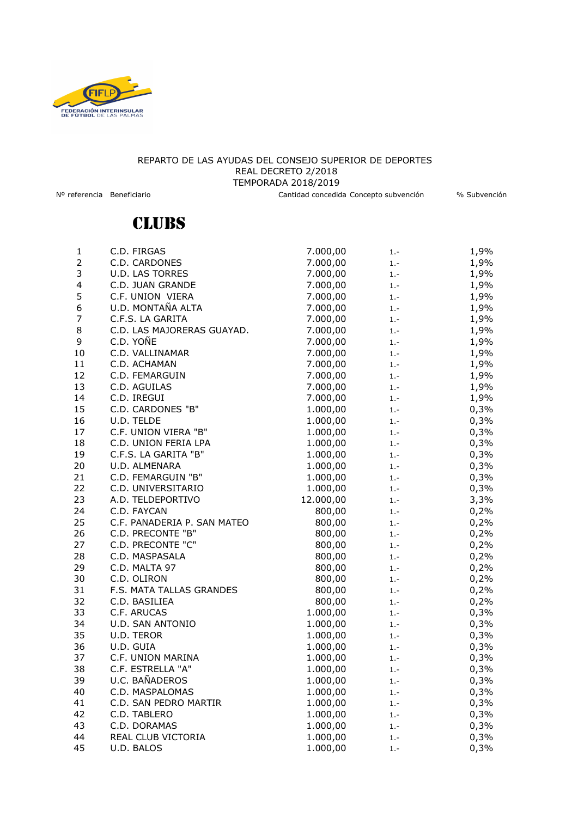

## REPARTO DE LAS AYUDAS DEL CONSEJO SUPERIOR DE DEPORTES REAL DECRETO 2/2018 TEMPORADA 2018/2019

Nº referencia Beneficiario Cantidad concedida Concepto subvención % Subvención

## **CLUBS**

| 1              | C.D. FIRGAS                 | 7.000,00  | $1. -$ | 1,9% |
|----------------|-----------------------------|-----------|--------|------|
| $\overline{2}$ | C.D. CARDONES               | 7.000,00  | $1. -$ | 1,9% |
| 3              | <b>U.D. LAS TORRES</b>      | 7.000,00  | $1. -$ | 1,9% |
| 4              | C.D. JUAN GRANDE            | 7.000,00  | $1. -$ | 1,9% |
| 5              | C.F. UNION VIERA            | 7.000,00  | $1. -$ | 1,9% |
| 6              | U.D. MONTAÑA ALTA           | 7.000,00  | $1. -$ | 1,9% |
| $\overline{7}$ | C.F.S. LA GARITA            | 7.000,00  | $1. -$ | 1,9% |
| 8              | C.D. LAS MAJORERAS GUAYAD.  | 7.000,00  | $1. -$ | 1,9% |
| 9              | C.D. YOÑE                   | 7.000,00  | $1. -$ | 1,9% |
| 10             | C.D. VALLINAMAR             | 7.000,00  | $1. -$ | 1,9% |
| 11             | C.D. ACHAMAN                | 7.000,00  | $1. -$ | 1,9% |
| 12             | C.D. FEMARGUIN              | 7.000,00  | $1. -$ | 1,9% |
| 13             | C.D. AGUILAS                | 7.000,00  | $1. -$ | 1,9% |
| 14             | C.D. IREGUI                 | 7.000,00  | $1. -$ | 1,9% |
| 15             | C.D. CARDONES "B"           | 1.000,00  | $1. -$ | 0,3% |
| 16             | U.D. TELDE                  | 1.000,00  | $1. -$ | 0,3% |
| 17             | C.F. UNION VIERA "B"        | 1.000,00  | $1. -$ | 0,3% |
| 18             | C.D. UNION FERIA LPA        | 1.000,00  | $1. -$ | 0,3% |
| 19             | C.F.S. LA GARITA "B"        | 1.000,00  | $1. -$ | 0,3% |
| 20             | U.D. ALMENARA               | 1.000,00  | $1. -$ | 0,3% |
| 21             | C.D. FEMARGUIN "B"          | 1.000,00  | $1. -$ | 0,3% |
| 22             | C.D. UNIVERSITARIO          | 1.000,00  | $1. -$ | 0,3% |
| 23             | A.D. TELDEPORTIVO           | 12.000,00 | $1. -$ | 3,3% |
| 24             | C.D. FAYCAN                 | 800,00    | $1. -$ | 0,2% |
| 25             | C.F. PANADERIA P. SAN MATEO | 800,00    | $1. -$ | 0,2% |
| 26             | C.D. PRECONTE "B"           | 800,00    | $1. -$ | 0,2% |
| 27             | C.D. PRECONTE "C"           | 800,00    | $1. -$ | 0,2% |
| 28             | C.D. MASPASALA              | 800,00    | $1. -$ | 0,2% |
| 29             | C.D. MALTA 97               | 800,00    | $1. -$ | 0,2% |
| 30             | C.D. OLIRON                 | 800,00    | $1. -$ | 0,2% |
| 31             | F.S. MATA TALLAS GRANDES    | 800,00    | $1. -$ | 0,2% |
| 32             | C.D. BASILIEA               | 800,00    | $1. -$ | 0,2% |
| 33             | C.F. ARUCAS                 | 1.000,00  | $1. -$ | 0,3% |
| 34             | U.D. SAN ANTONIO            | 1.000,00  | $1. -$ | 0,3% |
| 35             | U.D. TEROR                  | 1.000,00  | $1. -$ | 0,3% |
| 36             | U.D. GUIA                   | 1.000,00  | $1. -$ | 0,3% |
| 37             | C.F. UNION MARINA           | 1.000,00  | $1. -$ | 0,3% |
| 38             | C.F. ESTRELLA "A"           | 1.000,00  | $1. -$ | 0,3% |
| 39             | U.C. BAÑADEROS              | 1.000,00  | $1. -$ | 0,3% |
| 40             | C.D. MASPALOMAS             | 1.000,00  | $1. -$ | 0,3% |
| 41             | C.D. SAN PEDRO MARTIR       | 1.000,00  | $1. -$ | 0,3% |
| 42             | C.D. TABLERO                | 1.000,00  | $1. -$ | 0,3% |
| 43             | C.D. DORAMAS                | 1.000,00  | $1. -$ | 0,3% |
| 44             | REAL CLUB VICTORIA          | 1.000,00  | $1. -$ | 0,3% |
| 45             | U.D. BALOS                  | 1.000,00  | $1. -$ | 0,3% |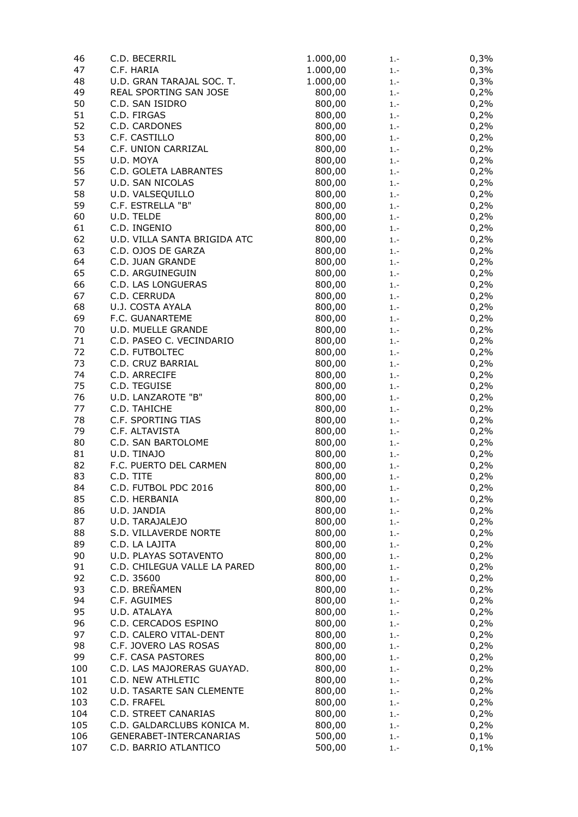| 46  | C.D. BECERRIL                | 1.000,00 | $1. -$ | 0,3% |
|-----|------------------------------|----------|--------|------|
| 47  | C.F. HARIA                   | 1.000,00 | $1. -$ | 0,3% |
| 48  | U.D. GRAN TARAJAL SOC. T.    | 1.000,00 | $1. -$ | 0,3% |
| 49  | REAL SPORTING SAN JOSE       | 800,00   | $1. -$ | 0,2% |
| 50  | C.D. SAN ISIDRO              | 800,00   | $1. -$ | 0,2% |
| 51  | C.D. FIRGAS                  | 800,00   | $1. -$ | 0,2% |
| 52  | C.D. CARDONES                | 800,00   | $1. -$ | 0,2% |
| 53  | C.F. CASTILLO                | 800,00   | $1. -$ | 0,2% |
| 54  | C.F. UNION CARRIZAL          | 800,00   | $1. -$ | 0,2% |
| 55  | U.D. MOYA                    | 800,00   | $1. -$ | 0,2% |
|     |                              |          |        |      |
| 56  | C.D. GOLETA LABRANTES        | 800,00   | $1. -$ | 0,2% |
| 57  | U.D. SAN NICOLAS             | 800,00   | $1. -$ | 0,2% |
| 58  | U.D. VALSEQUILLO             | 800,00   | $1. -$ | 0,2% |
| 59  | C.F. ESTRELLA "B"            | 800,00   | $1. -$ | 0,2% |
| 60  | U.D. TELDE                   | 800,00   | $1 -$  | 0,2% |
| 61  | C.D. INGENIO                 | 800,00   | $1. -$ | 0,2% |
| 62  | U.D. VILLA SANTA BRIGIDA ATC | 800,00   | $1. -$ | 0,2% |
| 63  | C.D. OJOS DE GARZA           | 800,00   | $1. -$ | 0,2% |
| 64  | C.D. JUAN GRANDE             | 800,00   | $1. -$ | 0,2% |
| 65  | C.D. ARGUINEGUIN             | 800,00   | $1. -$ | 0,2% |
| 66  | C.D. LAS LONGUERAS           | 800,00   | $1. -$ | 0,2% |
| 67  | C.D. CERRUDA                 | 800,00   | $1. -$ | 0,2% |
| 68  | U.J. COSTA AYALA             | 800,00   | $1. -$ | 0,2% |
| 69  | F.C. GUANARTEME              | 800,00   | $1. -$ | 0,2% |
| 70  | <b>U.D. MUELLE GRANDE</b>    | 800,00   |        |      |
|     |                              |          | $1. -$ | 0,2% |
| 71  | C.D. PASEO C. VECINDARIO     | 800,00   | $1. -$ | 0,2% |
| 72  | C.D. FUTBOLTEC               | 800,00   | $1. -$ | 0,2% |
| 73  | C.D. CRUZ BARRIAL            | 800,00   | $1. -$ | 0,2% |
| 74  | C.D. ARRECIFE                | 800,00   | $1. -$ | 0,2% |
| 75  | C.D. TEGUISE                 | 800,00   | $1. -$ | 0,2% |
| 76  | U.D. LANZAROTE "B"           | 800,00   | $1. -$ | 0,2% |
| 77  | C.D. TAHICHE                 | 800,00   | $1. -$ | 0,2% |
| 78  | C.F. SPORTING TIAS           | 800,00   | $1. -$ | 0,2% |
| 79  | C.F. ALTAVISTA               | 800,00   | $1. -$ | 0,2% |
| 80  | C.D. SAN BARTOLOME           | 800,00   | $1. -$ | 0,2% |
| 81  | U.D. TINAJO                  | 800,00   | $1. -$ | 0,2% |
| 82  | F.C. PUERTO DEL CARMEN       | 800,00   | $1. -$ | 0,2% |
| 83  | C.D. TITE                    | 800,00   | $1. -$ | 0,2% |
| 84  | C.D. FUTBOL PDC 2016         | 800,00   | $1. -$ | 0,2% |
| 85  | C.D. HERBANIA                | 800,00   | $1 -$  | 0,2% |
| 86  | U.D. JANDIA                  | 800,00   | $1. -$ | 0,2% |
| 87  | U.D. TARAJALEJO              | 800,00   | $1. -$ |      |
|     |                              |          |        | 0,2% |
| 88  | S.D. VILLAVERDE NORTE        | 800,00   | $1. -$ | 0,2% |
| 89  | C.D. LA LAJITA               | 800,00   | $1. -$ | 0,2% |
| 90  | U.D. PLAYAS SOTAVENTO        | 800,00   | $1. -$ | 0,2% |
| 91  | C.D. CHILEGUA VALLE LA PARED | 800,00   | $1. -$ | 0,2% |
| 92  | C.D. 35600                   | 800,00   | $1. -$ | 0,2% |
| 93  | C.D. BREÑAMEN                | 800,00   | $1. -$ | 0,2% |
| 94  | C.F. AGUIMES                 | 800,00   | $1. -$ | 0,2% |
| 95  | U.D. ATALAYA                 | 800,00   | $1. -$ | 0,2% |
| 96  | C.D. CERCADOS ESPINO         | 800,00   | $1. -$ | 0,2% |
| 97  | C.D. CALERO VITAL-DENT       | 800,00   | $1. -$ | 0,2% |
| 98  | C.F. JOVERO LAS ROSAS        | 800,00   | $1. -$ | 0,2% |
| 99  | C.F. CASA PASTORES           | 800,00   | $1. -$ | 0,2% |
| 100 | C.D. LAS MAJORERAS GUAYAD.   | 800,00   | $1. -$ | 0,2% |
| 101 | C.D. NEW ATHLETIC            | 800,00   | $1. -$ | 0,2% |
| 102 | U.D. TASARTE SAN CLEMENTE    | 800,00   | $1. -$ | 0,2% |
| 103 | C.D. FRAFEL                  | 800,00   | $1. -$ | 0,2% |
| 104 | C.D. STREET CANARIAS         | 800,00   |        |      |
|     |                              |          | $1. -$ | 0,2% |
| 105 | C.D. GALDARCLUBS KONICA M.   | 800,00   | $1. -$ | 0,2% |
| 106 | GENERABET-INTERCANARIAS      | 500,00   | $1. -$ | 0,1% |
| 107 | C.D. BARRIO ATLANTICO        | 500,00   | $1. -$ | 0,1% |